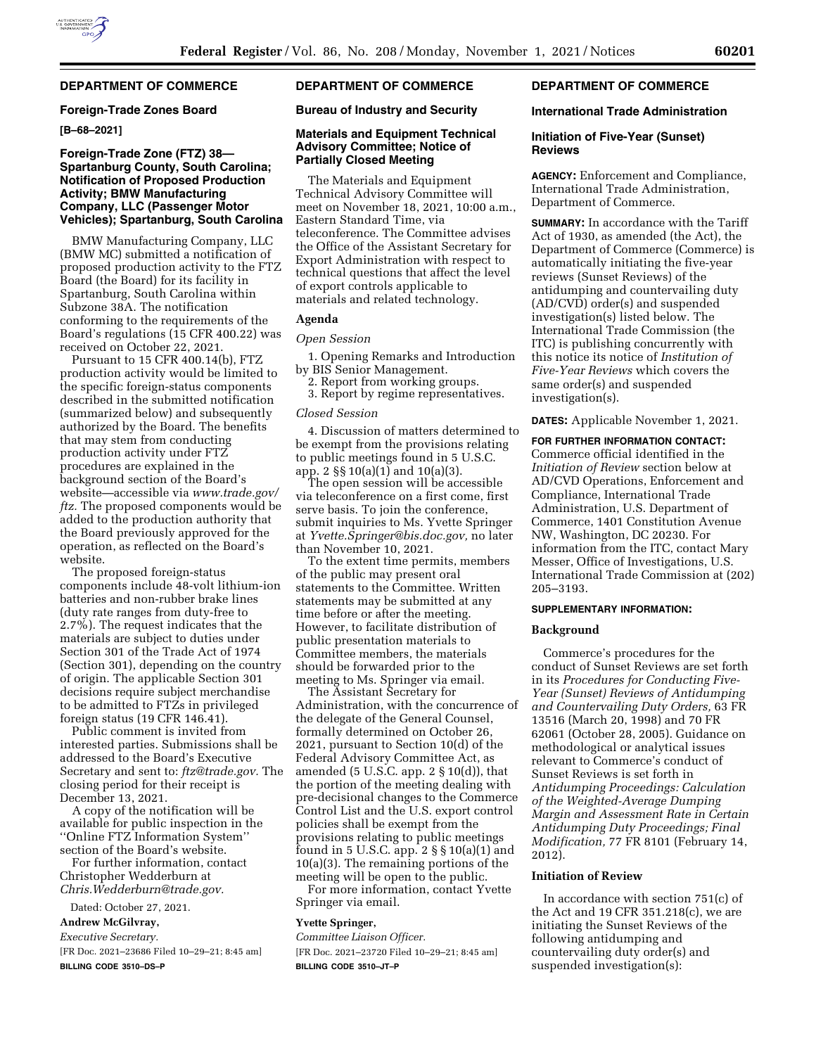# **DEPARTMENT OF COMMERCE**

### **Foreign-Trade Zones Board**

**[B–68–2021]** 

### **Foreign-Trade Zone (FTZ) 38— Spartanburg County, South Carolina; Notification of Proposed Production Activity; BMW Manufacturing Company, LLC (Passenger Motor Vehicles); Spartanburg, South Carolina**

BMW Manufacturing Company, LLC (BMW MC) submitted a notification of proposed production activity to the FTZ Board (the Board) for its facility in Spartanburg, South Carolina within Subzone 38A. The notification conforming to the requirements of the Board's regulations (15 CFR 400.22) was received on October 22, 2021.

Pursuant to 15 CFR 400.14(b), FTZ production activity would be limited to the specific foreign-status components described in the submitted notification (summarized below) and subsequently authorized by the Board. The benefits that may stem from conducting production activity under FTZ procedures are explained in the background section of the Board's website—accessible via *www.trade.gov/ ftz.* The proposed components would be added to the production authority that the Board previously approved for the operation, as reflected on the Board's website.

The proposed foreign-status components include 48-volt lithium-ion batteries and non-rubber brake lines (duty rate ranges from duty-free to 2.7%). The request indicates that the materials are subject to duties under Section 301 of the Trade Act of 1974 (Section 301), depending on the country of origin. The applicable Section 301 decisions require subject merchandise to be admitted to FTZs in privileged foreign status (19 CFR 146.41).

Public comment is invited from interested parties. Submissions shall be addressed to the Board's Executive Secretary and sent to: *ftz@trade.gov.* The closing period for their receipt is December 13, 2021.

A copy of the notification will be available for public inspection in the ''Online FTZ Information System'' section of the Board's website.

For further information, contact Christopher Wedderburn at *Chris.Wedderburn@trade.gov.* 

Dated: October 27, 2021.

**Andrew McGilvray,** 

*Executive Secretary.* 

[FR Doc. 2021–23686 Filed 10–29–21; 8:45 am] **BILLING CODE 3510–DS–P** 

# **DEPARTMENT OF COMMERCE**

**Bureau of Industry and Security** 

### **Materials and Equipment Technical Advisory Committee; Notice of Partially Closed Meeting**

The Materials and Equipment Technical Advisory Committee will meet on November 18, 2021, 10:00 a.m., Eastern Standard Time, via teleconference. The Committee advises the Office of the Assistant Secretary for Export Administration with respect to technical questions that affect the level of export controls applicable to materials and related technology.

### **Agenda**

*Open Session* 

1. Opening Remarks and Introduction by BIS Senior Management.

2. Report from working groups.

3. Report by regime representatives.

#### *Closed Session*

4. Discussion of matters determined to be exempt from the provisions relating to public meetings found in 5 U.S.C. app. 2 §§ 10(a)(1) and 10(a)(3).

The open session will be accessible via teleconference on a first come, first serve basis. To join the conference, submit inquiries to Ms. Yvette Springer at *Yvette.Springer@bis.doc.gov,* no later than November 10, 2021.

To the extent time permits, members of the public may present oral statements to the Committee. Written statements may be submitted at any time before or after the meeting. However, to facilitate distribution of public presentation materials to Committee members, the materials should be forwarded prior to the meeting to Ms. Springer via email.

The Assistant Secretary for Administration, with the concurrence of the delegate of the General Counsel, formally determined on October 26, 2021, pursuant to Section 10(d) of the Federal Advisory Committee Act, as amended (5 U.S.C. app.  $2 \S 10(d)$ ), that the portion of the meeting dealing with pre-decisional changes to the Commerce Control List and the U.S. export control policies shall be exempt from the provisions relating to public meetings found in 5 U.S.C. app. 2 § § 10(a)(1) and 10(a)(3). The remaining portions of the meeting will be open to the public.

For more information, contact Yvette Springer via email.

#### **Yvette Springer,**

*Committee Liaison Officer.*  [FR Doc. 2021–23720 Filed 10–29–21; 8:45 am]

**BILLING CODE 3510–JT–P** 

### **DEPARTMENT OF COMMERCE**

#### **International Trade Administration**

### **Initiation of Five-Year (Sunset) Reviews**

**AGENCY:** Enforcement and Compliance, International Trade Administration, Department of Commerce.

**SUMMARY:** In accordance with the Tariff Act of 1930, as amended (the Act), the Department of Commerce (Commerce) is automatically initiating the five-year reviews (Sunset Reviews) of the antidumping and countervailing duty (AD/CVD) order(s) and suspended investigation(s) listed below. The International Trade Commission (the ITC) is publishing concurrently with this notice its notice of *Institution of Five-Year Reviews* which covers the same order(s) and suspended investigation(s).

**DATES:** Applicable November 1, 2021.

**FOR FURTHER INFORMATION CONTACT:**  Commerce official identified in the *Initiation of Review* section below at AD/CVD Operations, Enforcement and Compliance, International Trade Administration, U.S. Department of Commerce, 1401 Constitution Avenue NW, Washington, DC 20230. For information from the ITC, contact Mary Messer, Office of Investigations, U.S. International Trade Commission at (202) 205–3193.

#### **SUPPLEMENTARY INFORMATION:**

### **Background**

Commerce's procedures for the conduct of Sunset Reviews are set forth in its *Procedures for Conducting Five-Year (Sunset) Reviews of Antidumping and Countervailing Duty Orders,* 63 FR 13516 (March 20, 1998) and 70 FR 62061 (October 28, 2005). Guidance on methodological or analytical issues relevant to Commerce's conduct of Sunset Reviews is set forth in *Antidumping Proceedings: Calculation of the Weighted-Average Dumping Margin and Assessment Rate in Certain Antidumping Duty Proceedings; Final Modification,* 77 FR 8101 (February 14, 2012).

### **Initiation of Review**

In accordance with section 751(c) of the Act and 19 CFR 351.218(c), we are initiating the Sunset Reviews of the following antidumping and countervailing duty order(s) and suspended investigation(s):